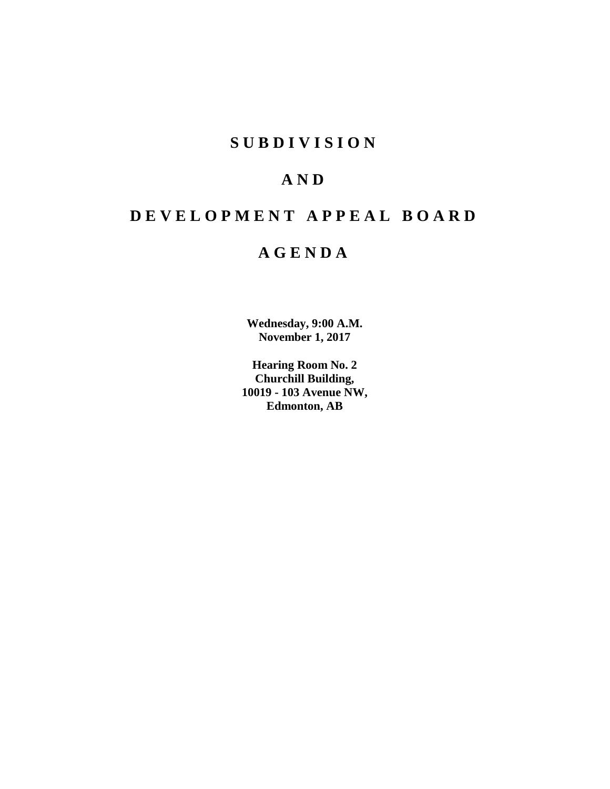# **SUBDIVISION**

# **AND**

# **DEVELOPMENT APPEAL BOARD**

# **AGENDA**

**Wednesday, 9:00 A.M. November 1, 2017**

**Hearing Room No. 2 Churchill Building, 10019 - 103 Avenue NW, Edmonton, AB**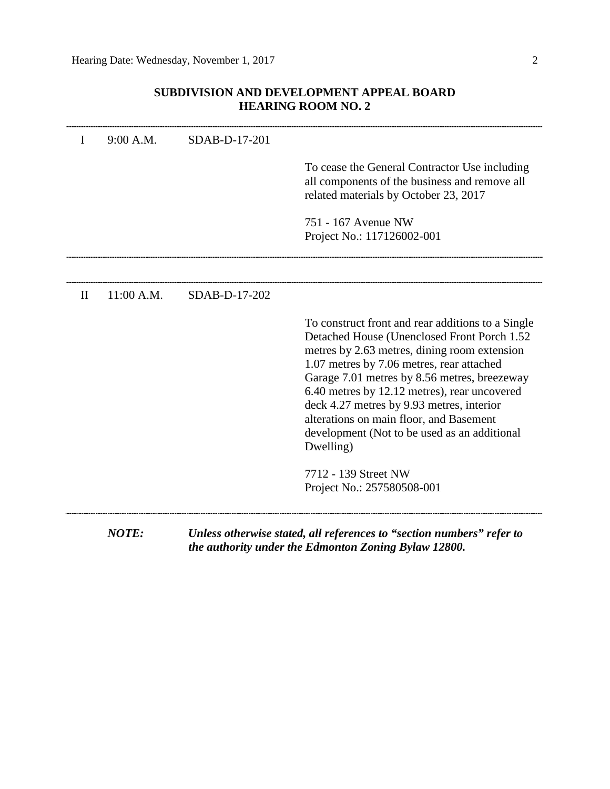# **SUBDIVISION AND DEVELOPMENT APPEAL BOARD HEARING ROOM NO. 2**

| I            | 9:00 A.M.  | SDAB-D-17-201 |                                                                                                                                                                                                                                                                                                                                                                                                                                                    |
|--------------|------------|---------------|----------------------------------------------------------------------------------------------------------------------------------------------------------------------------------------------------------------------------------------------------------------------------------------------------------------------------------------------------------------------------------------------------------------------------------------------------|
|              |            |               |                                                                                                                                                                                                                                                                                                                                                                                                                                                    |
|              |            |               | To cease the General Contractor Use including<br>all components of the business and remove all<br>related materials by October 23, 2017                                                                                                                                                                                                                                                                                                            |
|              |            |               | 751 - 167 Avenue NW                                                                                                                                                                                                                                                                                                                                                                                                                                |
|              |            |               | Project No.: 117126002-001                                                                                                                                                                                                                                                                                                                                                                                                                         |
|              |            |               |                                                                                                                                                                                                                                                                                                                                                                                                                                                    |
| $\mathbf{I}$ | 11:00 A.M. | SDAB-D-17-202 |                                                                                                                                                                                                                                                                                                                                                                                                                                                    |
|              |            |               | To construct front and rear additions to a Single<br>Detached House (Unenclosed Front Porch 1.52<br>metres by 2.63 metres, dining room extension<br>1.07 metres by 7.06 metres, rear attached<br>Garage 7.01 metres by 8.56 metres, breezeway<br>6.40 metres by 12.12 metres), rear uncovered<br>deck 4.27 metres by 9.93 metres, interior<br>alterations on main floor, and Basement<br>development (Not to be used as an additional<br>Dwelling) |
|              |            |               | 7712 - 139 Street NW<br>Project No.: 257580508-001                                                                                                                                                                                                                                                                                                                                                                                                 |

*the authority under the Edmonton Zoning Bylaw 12800.*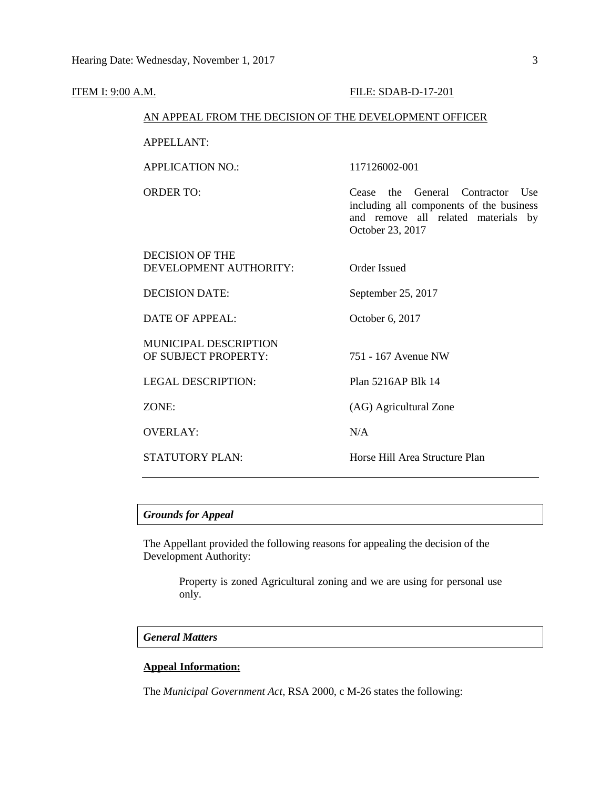| <u>ITEM I: 9:00 A.M.</u> |                                                        | <b>FILE: SDAB-D-17-201</b>                                                                                                                          |
|--------------------------|--------------------------------------------------------|-----------------------------------------------------------------------------------------------------------------------------------------------------|
|                          | AN APPEAL FROM THE DECISION OF THE DEVELOPMENT OFFICER |                                                                                                                                                     |
|                          | <b>APPELLANT:</b>                                      |                                                                                                                                                     |
|                          | <b>APPLICATION NO.:</b>                                | 117126002-001                                                                                                                                       |
|                          | <b>ORDER TO:</b>                                       | the<br>General<br>Contractor<br>Cease<br>Use<br>including all components of the business<br>and remove all related materials by<br>October 23, 2017 |
|                          | <b>DECISION OF THE</b><br>DEVELOPMENT AUTHORITY:       | <b>Order Issued</b>                                                                                                                                 |
|                          | <b>DECISION DATE:</b>                                  | September 25, 2017                                                                                                                                  |
|                          | <b>DATE OF APPEAL:</b>                                 | October 6, 2017                                                                                                                                     |
|                          | <b>MUNICIPAL DESCRIPTION</b><br>OF SUBJECT PROPERTY:   | 751 - 167 Avenue NW                                                                                                                                 |
|                          | <b>LEGAL DESCRIPTION:</b>                              | Plan 5216AP Blk 14                                                                                                                                  |
|                          | ZONE:                                                  | (AG) Agricultural Zone                                                                                                                              |
|                          | <b>OVERLAY:</b>                                        | N/A                                                                                                                                                 |
|                          | <b>STATUTORY PLAN:</b>                                 | Horse Hill Area Structure Plan                                                                                                                      |
|                          |                                                        |                                                                                                                                                     |

# *Grounds for Appeal*

The Appellant provided the following reasons for appealing the decision of the Development Authority:

> Property is zoned Agricultural zoning and we are using for personal use only.

## *General Matters*

## **Appeal Information:**

The *Municipal Government Act*, RSA 2000, c M-26 states the following: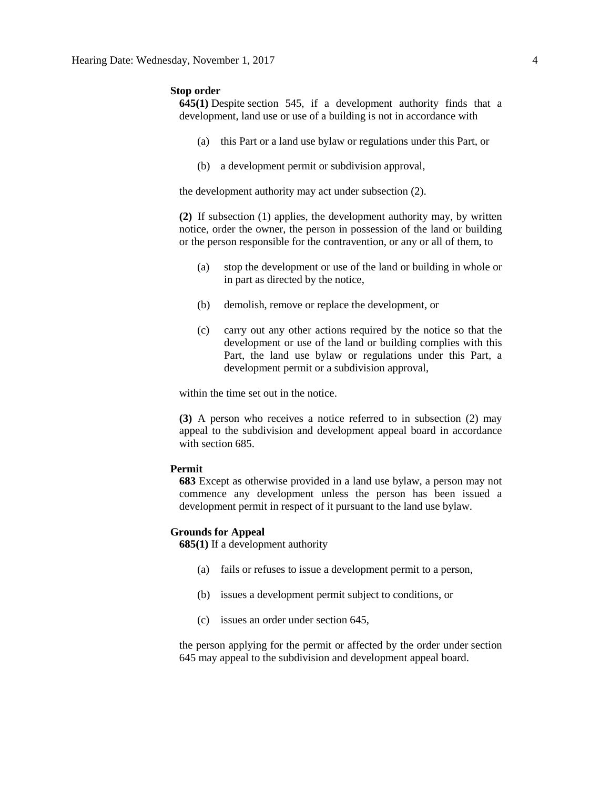## **Stop order**

**645(1)** Despite [section 545,](https://www.canlii.org/en/ab/laws/stat/rsa-2000-c-m-26/latest/rsa-2000-c-m-26.html%23sec545_smooth) if a development authority finds that a development, land use or use of a building is not in accordance with

- (a) this Part or a land use bylaw or regulations under this Part, or
- (b) a development permit or subdivision approval,

the development authority may act under subsection (2).

**(2)** If subsection (1) applies, the development authority may, by written notice, order the owner, the person in possession of the land or building or the person responsible for the contravention, or any or all of them, to

- (a) stop the development or use of the land or building in whole or in part as directed by the notice,
- (b) demolish, remove or replace the development, or
- (c) carry out any other actions required by the notice so that the development or use of the land or building complies with this Part, the land use bylaw or regulations under this Part, a development permit or a subdivision approval,

within the time set out in the notice.

**(3)** A person who receives a notice referred to in subsection (2) may appeal to the subdivision and development appeal board in accordance with [section 685.](https://www.canlii.org/en/ab/laws/stat/rsa-2000-c-m-26/latest/rsa-2000-c-m-26.html%23sec685_smooth)

## **Permit**

**683** Except as otherwise provided in a land use bylaw, a person may not commence any development unless the person has been issued a development permit in respect of it pursuant to the land use bylaw.

## **Grounds for Appeal**

**685(1)** If a development authority

- (a) fails or refuses to issue a development permit to a person,
- (b) issues a development permit subject to conditions, or
- (c) issues an order under section 645,

the person applying for the permit or affected by the order under section 645 may appeal to the subdivision and development appeal board.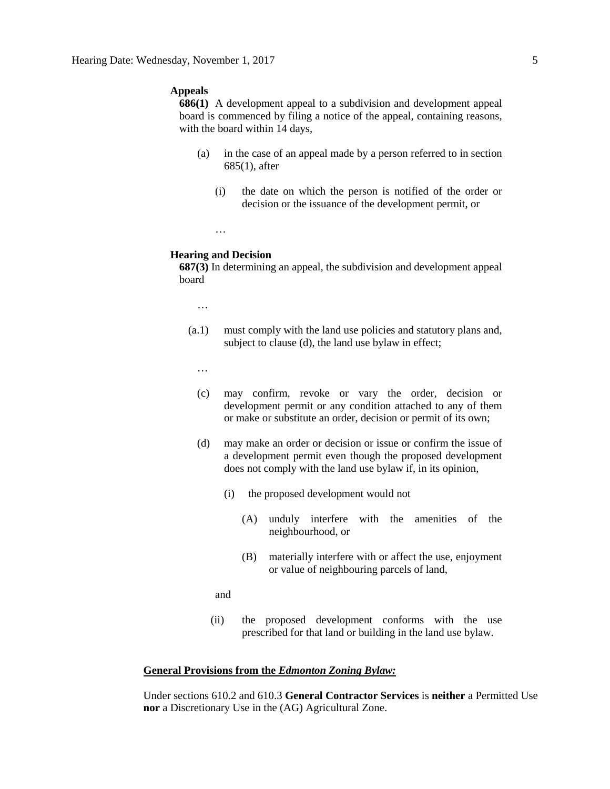## **Appeals**

**686(1)** A development appeal to a subdivision and development appeal board is commenced by filing a notice of the appeal, containing reasons, with the board within 14 days,

- (a) in the case of an appeal made by a person referred to in section 685(1), after
	- (i) the date on which the person is notified of the order or decision or the issuance of the development permit, or
	- …

## **Hearing and Decision**

**687(3)** In determining an appeal, the subdivision and development appeal board

…

(a.1) must comply with the land use policies and statutory plans and, subject to clause (d), the land use bylaw in effect;

…

- (c) may confirm, revoke or vary the order, decision or development permit or any condition attached to any of them or make or substitute an order, decision or permit of its own;
- (d) may make an order or decision or issue or confirm the issue of a development permit even though the proposed development does not comply with the land use bylaw if, in its opinion,
	- (i) the proposed development would not
		- (A) unduly interfere with the amenities of the neighbourhood, or
		- (B) materially interfere with or affect the use, enjoyment or value of neighbouring parcels of land,

and

(ii) the proposed development conforms with the use prescribed for that land or building in the land use bylaw.

## **General Provisions from the** *Edmonton Zoning Bylaw:*

Under sections 610.2 and 610.3 **General Contractor Services** is **neither** a Permitted Use **nor** a Discretionary Use in the (AG) Agricultural Zone.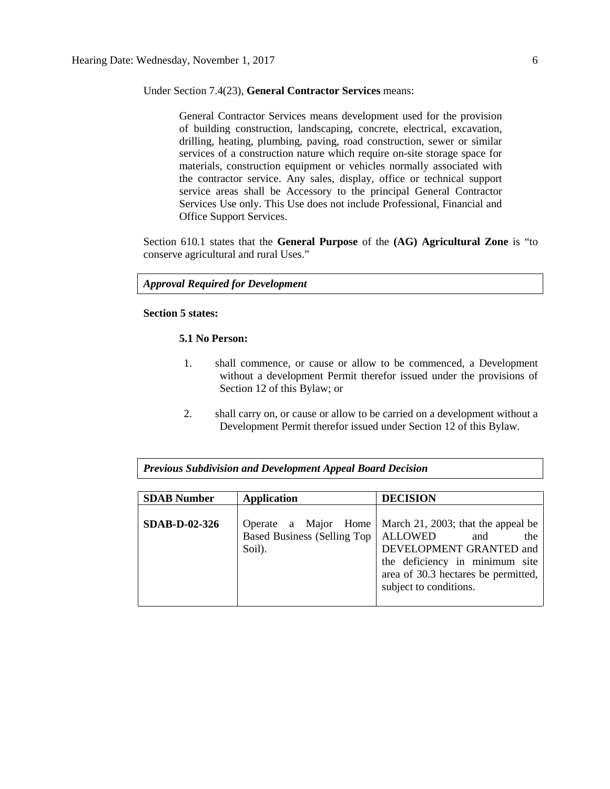### Under Section 7.4(23), **General Contractor Services** means:

General Contractor Services means development used for the provision of building construction, landscaping, concrete, electrical, excavation, drilling, heating, plumbing, paving, road construction, sewer or similar services of a construction nature which require on-site storage space for materials, construction equipment or vehicles normally associated with the contractor service. Any sales, display, office or technical support service areas shall be Accessory to the principal General Contractor Services Use only. This Use does not include Professional, Financial and Office Support Services.

Section 610.1 states that the **General Purpose** of the **(AG) Agricultural Zone** is "to conserve agricultural and rural Uses."

*Approval Required for Development*

## **Section 5 states:**

## **5.1 No Person:**

- 1. shall commence, or cause or allow to be commenced, a Development without a development Permit therefor issued under the provisions of Section 12 of this Bylaw; or
- 2. shall carry on, or cause or allow to be carried on a development without a Development Permit therefor issued under Section 12 of this Bylaw.

*Previous Subdivision and Development Appeal Board Decision*

| <b>SDAB Number</b>   | <b>Application</b>                                                      | <b>DECISION</b>                                                                                                                                                                |  |  |
|----------------------|-------------------------------------------------------------------------|--------------------------------------------------------------------------------------------------------------------------------------------------------------------------------|--|--|
| <b>SDAB-D-02-326</b> | Operate a Major Home<br>Based Business (Selling Top   ALLOWED<br>Soil). | March 21, 2003; that the appeal be<br>the<br>and<br>DEVELOPMENT GRANTED and<br>the deficiency in minimum site<br>area of 30.3 hectares be permitted,<br>subject to conditions. |  |  |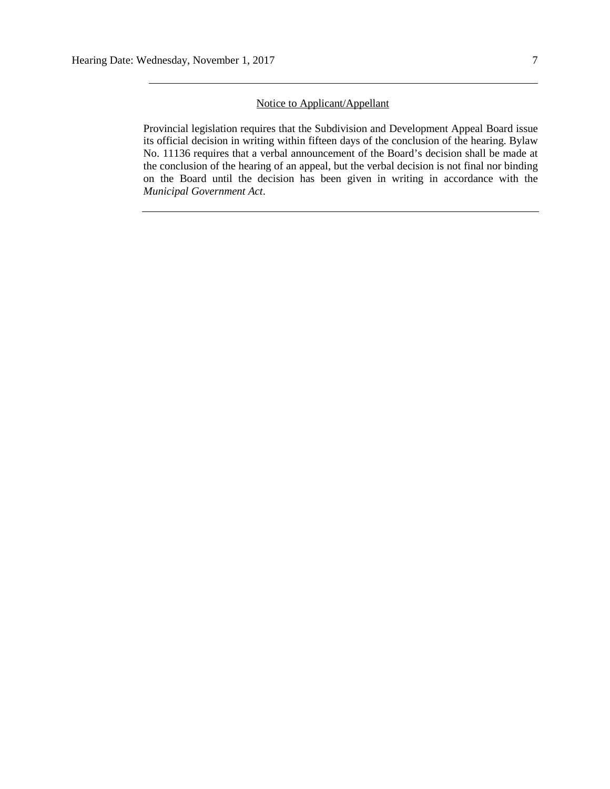## Notice to Applicant/Appellant

Provincial legislation requires that the Subdivision and Development Appeal Board issue its official decision in writing within fifteen days of the conclusion of the hearing. Bylaw No. 11136 requires that a verbal announcement of the Board's decision shall be made at the conclusion of the hearing of an appeal, but the verbal decision is not final nor binding on the Board until the decision has been given in writing in accordance with the *Municipal Government Act*.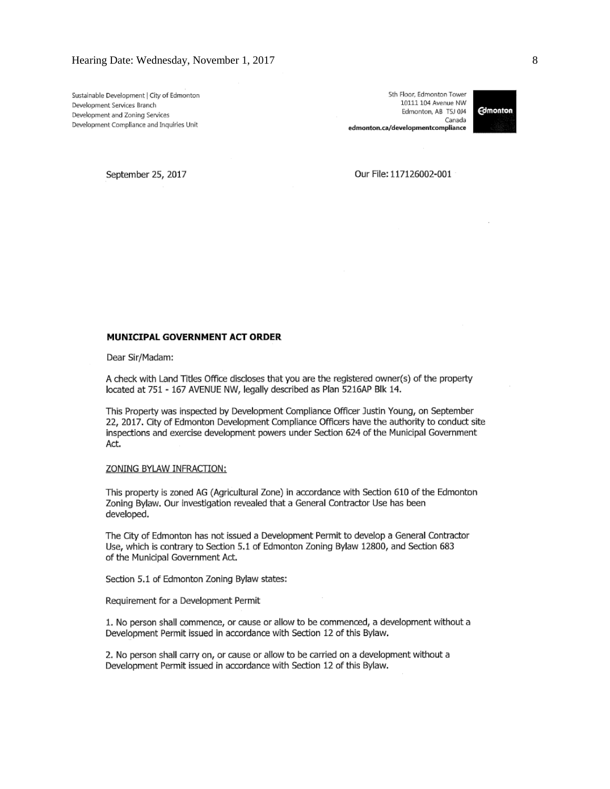Sustainable Development | City of Edmonton Development Services Branch Development and Zoning Services Development Compliance and Inquiries Unit

5th Floor, Edmonton Tower 10111 104 Avenue NW Edmonton, AB TSJ 0J4 Canada edmonton.ca/developmentcompliance



September 25, 2017

Our File: 117126002-001

#### MUNICIPAL GOVERNMENT ACT ORDER

Dear Sir/Madam:

A check with Land Titles Office discloses that you are the registered owner(s) of the property located at 751 - 167 AVENUE NW, legally described as Plan 5216AP Blk 14.

This Property was inspected by Development Compliance Officer Justin Young, on September 22, 2017. City of Edmonton Development Compliance Officers have the authority to conduct site inspections and exercise development powers under Section 624 of the Municipal Government Act.

#### ZONING BYLAW INFRACTION:

This property is zoned AG (Agricultural Zone) in accordance with Section 610 of the Edmonton Zoning Bylaw. Our investigation revealed that a General Contractor Use has been developed.

The City of Edmonton has not issued a Development Permit to develop a General Contractor Use, which is contrary to Section 5.1 of Edmonton Zoning Bylaw 12800, and Section 683 of the Municipal Government Act.

Section 5.1 of Edmonton Zoning Bylaw states:

Requirement for a Development Permit

1. No person shall commence, or cause or allow to be commenced, a development without a Development Permit issued in accordance with Section 12 of this Bylaw.

2. No person shall carry on, or cause or allow to be carried on a development without a Development Permit issued in accordance with Section 12 of this Bylaw.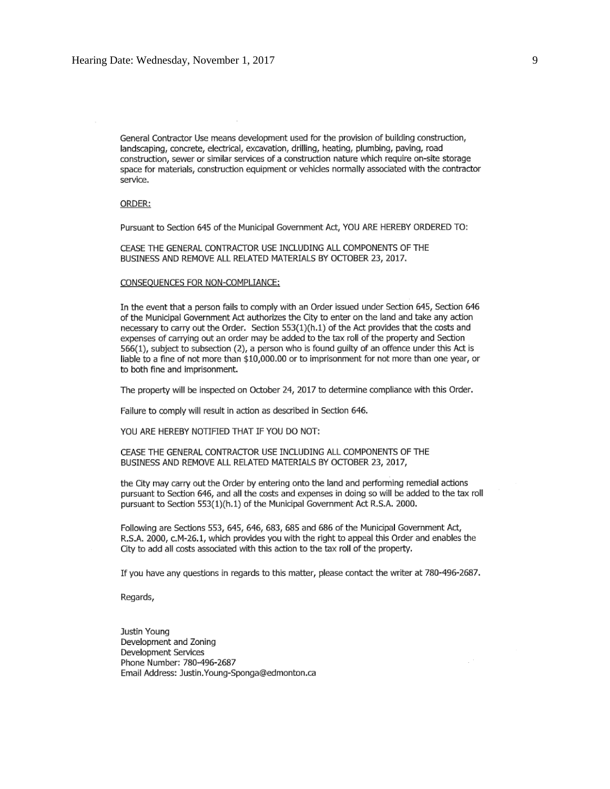General Contractor Use means development used for the provision of building construction, landscaping, concrete, electrical, excavation, drilling, heating, plumbing, paving, road construction, sewer or similar services of a construction nature which require on-site storage space for materials, construction equipment or vehicles normally associated with the contractor service.

#### ORDER:

Pursuant to Section 645 of the Municipal Government Act, YOU ARE HEREBY ORDERED TO:

CEASE THE GENERAL CONTRACTOR USE INCLUDING ALL COMPONENTS OF THE BUSINESS AND REMOVE ALL RELATED MATERIALS BY OCTOBER 23, 2017.

#### CONSEOUENCES FOR NON-COMPLIANCE:

In the event that a person fails to comply with an Order issued under Section 645, Section 646 of the Municipal Government Act authorizes the City to enter on the land and take any action necessary to carry out the Order. Section 553(1)(h.1) of the Act provides that the costs and expenses of carrying out an order may be added to the tax roll of the property and Section 566(1), subject to subsection (2), a person who is found guilty of an offence under this Act is liable to a fine of not more than \$10,000.00 or to imprisonment for not more than one year, or to both fine and imprisonment.

The property will be inspected on October 24, 2017 to determine compliance with this Order.

Failure to comply will result in action as described in Section 646.

YOU ARE HEREBY NOTIFIED THAT IF YOU DO NOT:

CEASE THE GENERAL CONTRACTOR USE INCLUDING ALL COMPONENTS OF THE BUSINESS AND REMOVE ALL RELATED MATERIALS BY OCTOBER 23, 2017,

the City may carry out the Order by entering onto the land and performing remedial actions pursuant to Section 646, and all the costs and expenses in doing so will be added to the tax roll pursuant to Section 553(1)(h.1) of the Municipal Government Act R.S.A. 2000.

Following are Sections 553, 645, 646, 683, 685 and 686 of the Municipal Government Act, R.S.A. 2000, c.M-26.1, which provides you with the right to appeal this Order and enables the City to add all costs associated with this action to the tax roll of the property.

If you have any questions in regards to this matter, please contact the writer at 780-496-2687.

Regards,

Justin Young Development and Zoning Development Services Phone Number: 780-496-2687 Email Address: Justin. Young-Sponga@edmonton.ca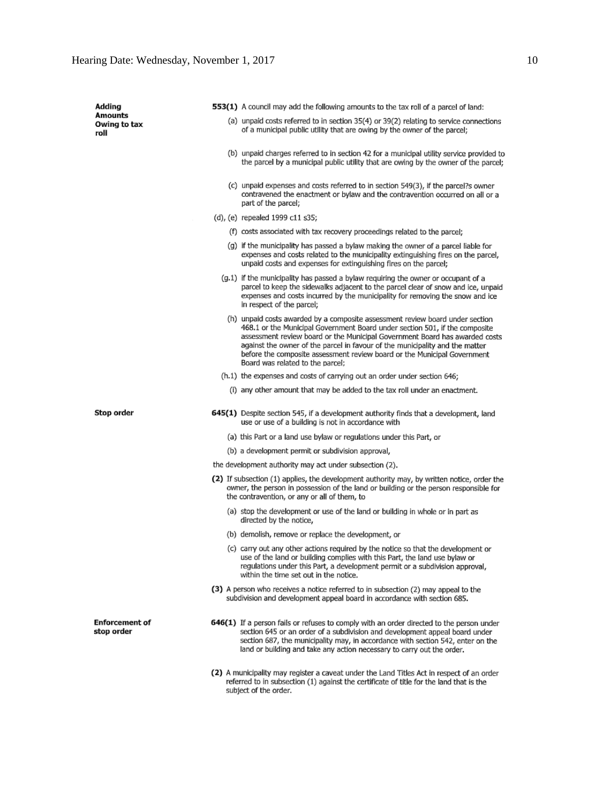| Adding                              | 553(1) A council may add the following amounts to the tax roll of a parcel of land:                                                                                                                                                                                                                                                                                                                                                         |
|-------------------------------------|---------------------------------------------------------------------------------------------------------------------------------------------------------------------------------------------------------------------------------------------------------------------------------------------------------------------------------------------------------------------------------------------------------------------------------------------|
| Amounts<br>Owing to tax<br>roll     | (a) unpaid costs referred to in section 35(4) or 39(2) relating to service connections<br>of a municipal public utility that are owing by the owner of the parcel;                                                                                                                                                                                                                                                                          |
|                                     | (b) unpaid charges referred to in section 42 for a municipal utility service provided to<br>the parcel by a municipal public utility that are owing by the owner of the parcel;                                                                                                                                                                                                                                                             |
|                                     | (c) unpaid expenses and costs referred to in section 549(3), if the parcel?s owner<br>contravened the enactment or bylaw and the contravention occurred on all or a<br>part of the parcel;                                                                                                                                                                                                                                                  |
|                                     | (d), (e) repealed 1999 c11 s35;                                                                                                                                                                                                                                                                                                                                                                                                             |
|                                     | (f) costs associated with tax recovery proceedings related to the parcel;                                                                                                                                                                                                                                                                                                                                                                   |
|                                     | (g) if the municipality has passed a bylaw making the owner of a parcel liable for<br>expenses and costs related to the municipality extinguishing fires on the parcel,<br>unpaid costs and expenses for extinguishing fires on the parcel;                                                                                                                                                                                                 |
|                                     | (g.1) if the municipality has passed a bylaw requiring the owner or occupant of a<br>parcel to keep the sidewalks adjacent to the parcel clear of snow and ice, unpaid<br>expenses and costs incurred by the municipality for removing the snow and ice<br>in respect of the parcel;                                                                                                                                                        |
|                                     | (h) unpaid costs awarded by a composite assessment review board under section<br>468.1 or the Municipal Government Board under section 501, if the composite<br>assessment review board or the Municipal Government Board has awarded costs<br>against the owner of the parcel in favour of the municipality and the matter<br>before the composite assessment review board or the Municipal Government<br>Board was related to the parcel: |
|                                     | (h.1) the expenses and costs of carrying out an order under section 646;                                                                                                                                                                                                                                                                                                                                                                    |
|                                     | (i) any other amount that may be added to the tax roll under an enactment.                                                                                                                                                                                                                                                                                                                                                                  |
| Stop order                          | 645(1) Despite section 545, if a development authority finds that a development, land<br>use or use of a building is not in accordance with                                                                                                                                                                                                                                                                                                 |
|                                     | (a) this Part or a land use bylaw or regulations under this Part, or                                                                                                                                                                                                                                                                                                                                                                        |
|                                     | (b) a development permit or subdivision approval,                                                                                                                                                                                                                                                                                                                                                                                           |
|                                     | the development authority may act under subsection (2).                                                                                                                                                                                                                                                                                                                                                                                     |
|                                     | (2) If subsection (1) applies, the development authority may, by written notice, order the<br>owner, the person in possession of the land or building or the person responsible for<br>the contravention, or any or all of them, to                                                                                                                                                                                                         |
|                                     | (a) stop the development or use of the land or building in whole or in part as<br>directed by the notice,                                                                                                                                                                                                                                                                                                                                   |
|                                     | (b) demolish, remove or replace the development, or                                                                                                                                                                                                                                                                                                                                                                                         |
|                                     | (c) carry out any other actions required by the notice so that the development or<br>use of the land or building complies with this Part, the land use bylaw or<br>regulations under this Part, a development permit or a subdivision approval,<br>within the time set out in the notice.                                                                                                                                                   |
|                                     | (3) A person who receives a notice referred to in subsection (2) may appeal to the<br>subdivision and development appeal board in accordance with section 685.                                                                                                                                                                                                                                                                              |
| <b>Enforcement of</b><br>stop order | 646(1) If a person fails or refuses to comply with an order directed to the person under<br>section 645 or an order of a subdivision and development appeal board under<br>section 687, the municipality may, in accordance with section 542, enter on the<br>land or building and take any action necessary to carry out the order.                                                                                                        |
|                                     | (2) A municipality may register a caveat under the Land Titles Act in respect of an order<br>referred to in subsection (1) against the certificate of title for the land that is the<br>subject of the order.                                                                                                                                                                                                                               |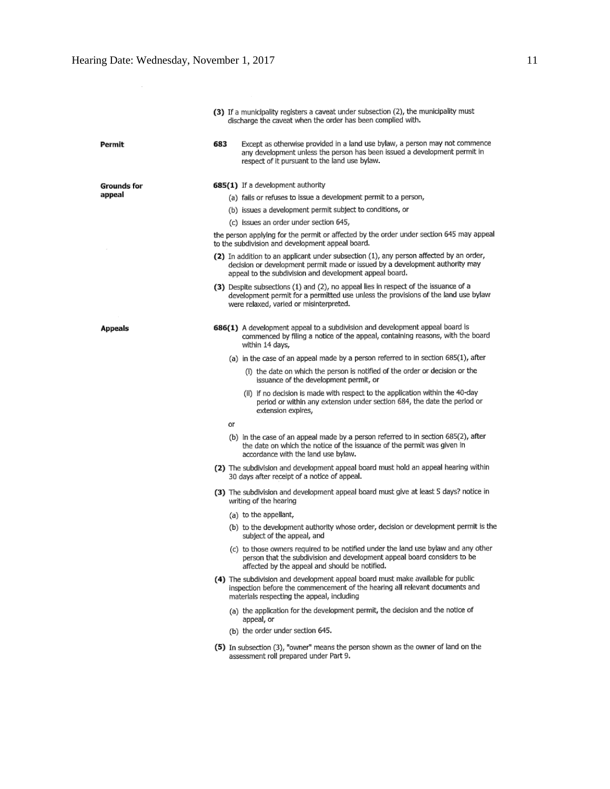|                    | (3) If a municipality registers a caveat under subsection (2), the municipality must<br>discharge the caveat when the order has been complied with.                                                                               |
|--------------------|-----------------------------------------------------------------------------------------------------------------------------------------------------------------------------------------------------------------------------------|
| 683<br>Permit      | Except as otherwise provided in a land use bylaw, a person may not commence<br>any development unless the person has been issued a development permit in<br>respect of it pursuant to the land use bylaw.                         |
| <b>Grounds for</b> | 685(1) If a development authority                                                                                                                                                                                                 |
| appeal             | (a) fails or refuses to issue a development permit to a person,                                                                                                                                                                   |
|                    | (b) issues a development permit subject to conditions, or                                                                                                                                                                         |
|                    | (c) issues an order under section 645,                                                                                                                                                                                            |
|                    | the person applying for the permit or affected by the order under section 645 may appeal<br>to the subdivision and development appeal board.                                                                                      |
|                    | (2) In addition to an applicant under subsection (1), any person affected by an order,<br>decision or development permit made or issued by a development authority may<br>appeal to the subdivision and development appeal board. |
|                    | (3) Despite subsections (1) and (2), no appeal lies in respect of the issuance of a<br>development permit for a permitted use unless the provisions of the land use bylaw<br>were relaxed, varied or misinterpreted.              |
| Appeals            | 686(1) A development appeal to a subdivision and development appeal board is<br>commenced by filing a notice of the appeal, containing reasons, with the board<br>within 14 days,                                                 |
|                    | (a) in the case of an appeal made by a person referred to in section 685(1), after                                                                                                                                                |
|                    | (i) the date on which the person is notified of the order or decision or the<br>issuance of the development permit, or                                                                                                            |
|                    | (ii) if no decision is made with respect to the application within the 40-day<br>period or within any extension under section 684, the date the period or<br>extension expires,                                                   |
|                    | o٢                                                                                                                                                                                                                                |
|                    | (b) in the case of an appeal made by a person referred to in section 685(2), after<br>the date on which the notice of the issuance of the permit was given in<br>accordance with the land use bylaw.                              |
|                    | (2) The subdivision and development appeal board must hold an appeal hearing within<br>30 days after receipt of a notice of appeal.                                                                                               |
|                    | (3) The subdivision and development appeal board must give at least 5 days? notice in<br>writing of the hearing                                                                                                                   |
|                    | (a) to the appellant,                                                                                                                                                                                                             |
|                    | (b) to the development authority whose order, decision or development permit is the<br>subject of the appeal, and                                                                                                                 |
|                    | (c) to those owners required to be notified under the land use bylaw and any other<br>person that the subdivision and development appeal board considers to be<br>affected by the appeal and should be notified.                  |
|                    | (4) The subdivision and development appeal board must make available for public<br>inspection before the commencement of the hearing all relevant documents and<br>materials respecting the appeal, including                     |
|                    | (a) the application for the development permit, the decision and the notice of<br>appeal, or                                                                                                                                      |
|                    | (b) the order under section 645.                                                                                                                                                                                                  |
|                    | (5) In subsection (3), "owner" means the person shown as the owner of land on the<br>assessment roll prepared under Part 9.                                                                                                       |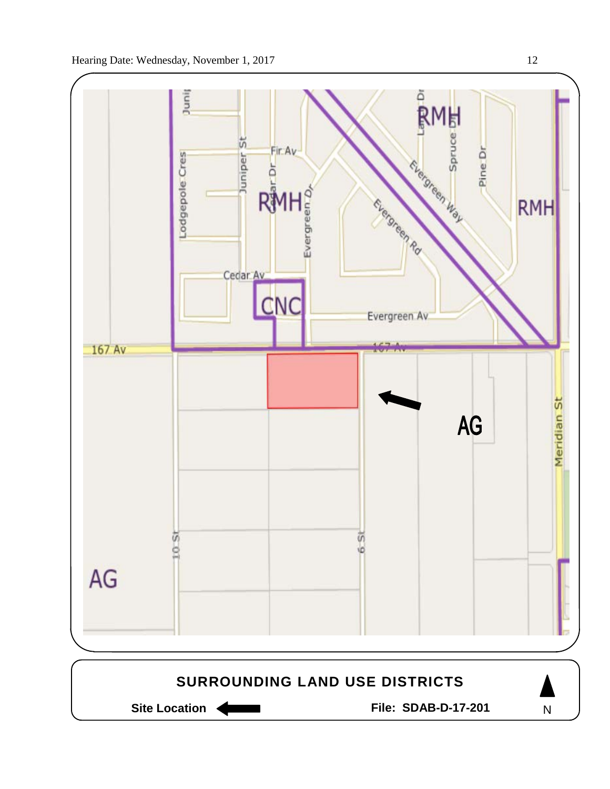



Site Location **Communist Contract Contract Contract Contract Contract Contract Contract Contract Contract Contract Contract Contract Contract Contract Contract Contract Contract Contract Contract Contract Contract Contract** 

N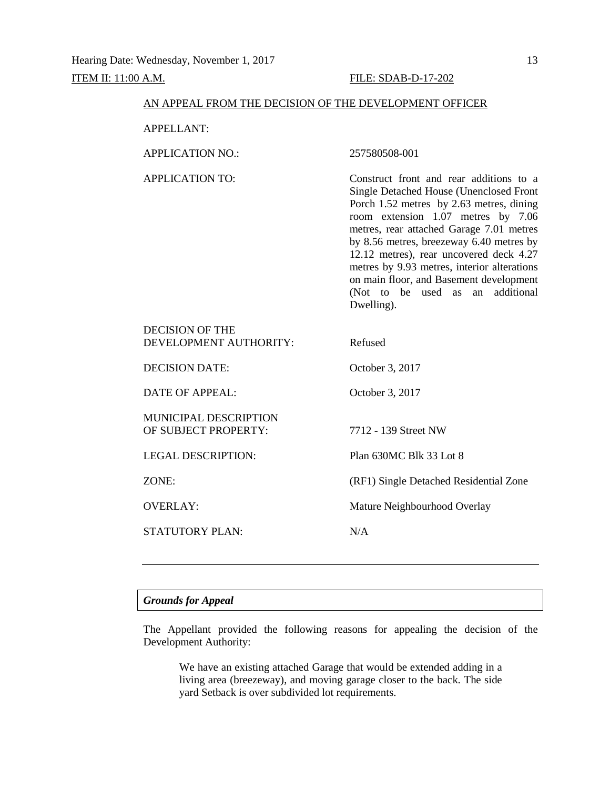| AN APPEAL FROM THE DECISION OF THE DEVELOPMENT OFFICER                                                                                                                                                                                                                                                                                                                                                                                                                        |
|-------------------------------------------------------------------------------------------------------------------------------------------------------------------------------------------------------------------------------------------------------------------------------------------------------------------------------------------------------------------------------------------------------------------------------------------------------------------------------|
|                                                                                                                                                                                                                                                                                                                                                                                                                                                                               |
| 257580508-001                                                                                                                                                                                                                                                                                                                                                                                                                                                                 |
| Construct front and rear additions to a<br><b>Single Detached House (Unenclosed Front</b><br>Porch 1.52 metres by 2.63 metres, dining<br>room extension 1.07 metres by 7.06<br>metres, rear attached Garage 7.01 metres<br>by 8.56 metres, breezeway 6.40 metres by<br>12.12 metres), rear uncovered deck 4.27<br>metres by 9.93 metres, interior alterations<br>on main floor, and Basement development<br>(Not)<br>additional<br>to<br>be<br>used<br>as<br>an<br>Dwelling). |
| Refused                                                                                                                                                                                                                                                                                                                                                                                                                                                                       |
| October 3, 2017                                                                                                                                                                                                                                                                                                                                                                                                                                                               |
| October 3, 2017                                                                                                                                                                                                                                                                                                                                                                                                                                                               |
| 7712 - 139 Street NW                                                                                                                                                                                                                                                                                                                                                                                                                                                          |
| Plan 630MC Blk 33 Lot 8                                                                                                                                                                                                                                                                                                                                                                                                                                                       |
| (RF1) Single Detached Residential Zone                                                                                                                                                                                                                                                                                                                                                                                                                                        |
| Mature Neighbourhood Overlay                                                                                                                                                                                                                                                                                                                                                                                                                                                  |
| N/A                                                                                                                                                                                                                                                                                                                                                                                                                                                                           |
|                                                                                                                                                                                                                                                                                                                                                                                                                                                                               |

# *Grounds for Appeal*

The Appellant provided the following reasons for appealing the decision of the Development Authority:

We have an existing attached Garage that would be extended adding in a living area (breezeway), and moving garage closer to the back. The side yard Setback is over subdivided lot requirements.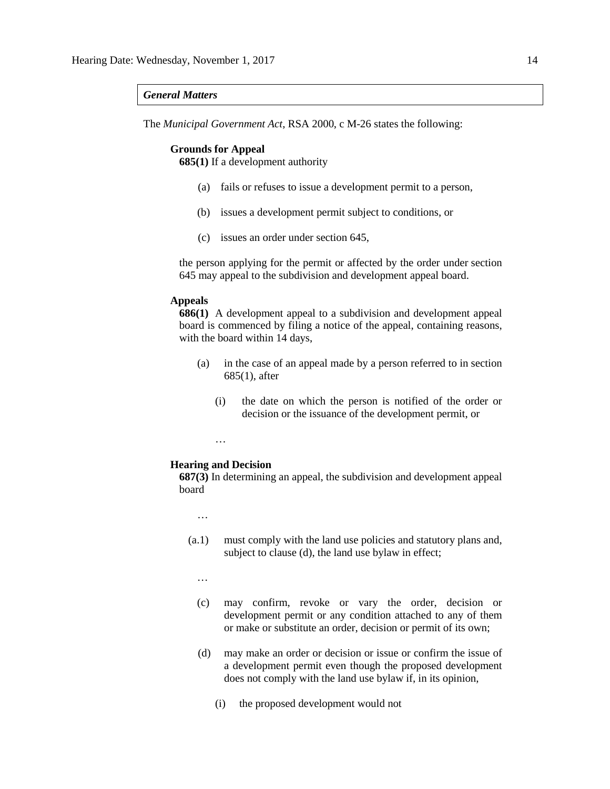## *General Matters*

The *Municipal Government Act*, RSA 2000, c M-26 states the following:

#### **Grounds for Appeal**

**685(1)** If a development authority

- (a) fails or refuses to issue a development permit to a person,
- (b) issues a development permit subject to conditions, or
- (c) issues an order under section 645,

the person applying for the permit or affected by the order under section 645 may appeal to the subdivision and development appeal board.

## **Appeals**

**686(1)** A development appeal to a subdivision and development appeal board is commenced by filing a notice of the appeal, containing reasons, with the board within 14 days,

- (a) in the case of an appeal made by a person referred to in section 685(1), after
	- (i) the date on which the person is notified of the order or decision or the issuance of the development permit, or

…

## **Hearing and Decision**

**687(3)** In determining an appeal, the subdivision and development appeal board

…

(a.1) must comply with the land use policies and statutory plans and, subject to clause (d), the land use bylaw in effect;

…

- (c) may confirm, revoke or vary the order, decision or development permit or any condition attached to any of them or make or substitute an order, decision or permit of its own;
- (d) may make an order or decision or issue or confirm the issue of a development permit even though the proposed development does not comply with the land use bylaw if, in its opinion,
	- (i) the proposed development would not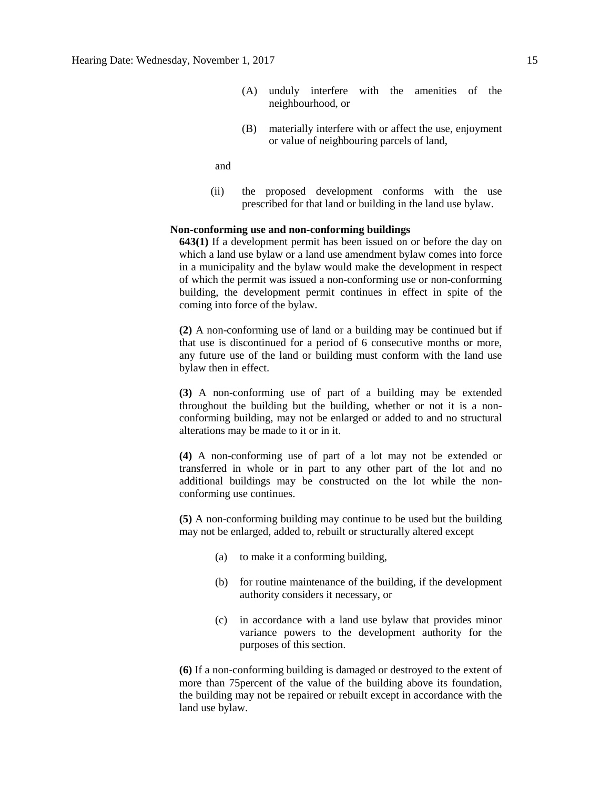- (A) unduly interfere with the amenities of the neighbourhood, or
- (B) materially interfere with or affect the use, enjoyment or value of neighbouring parcels of land,

and

(ii) the proposed development conforms with the use prescribed for that land or building in the land use bylaw.

## **Non-conforming use and non-conforming buildings**

**643(1)** If a development permit has been issued on or before the day on which a land use bylaw or a land use amendment bylaw comes into force in a municipality and the bylaw would make the development in respect of which the permit was issued a non-conforming use or non-conforming building, the development permit continues in effect in spite of the coming into force of the bylaw.

**(2)** A non-conforming use of land or a building may be continued but if that use is discontinued for a period of 6 consecutive months or more, any future use of the land or building must conform with the land use bylaw then in effect.

**(3)** A non-conforming use of part of a building may be extended throughout the building but the building, whether or not it is a nonconforming building, may not be enlarged or added to and no structural alterations may be made to it or in it.

**(4)** A non-conforming use of part of a lot may not be extended or transferred in whole or in part to any other part of the lot and no additional buildings may be constructed on the lot while the nonconforming use continues.

**(5)** A non-conforming building may continue to be used but the building may not be enlarged, added to, rebuilt or structurally altered except

- (a) to make it a conforming building,
- (b) for routine maintenance of the building, if the development authority considers it necessary, or
- (c) in accordance with a land use bylaw that provides minor variance powers to the development authority for the purposes of this section.

**(6)** If a non-conforming building is damaged or destroyed to the extent of more than 75percent of the value of the building above its foundation, the building may not be repaired or rebuilt except in accordance with the land use bylaw.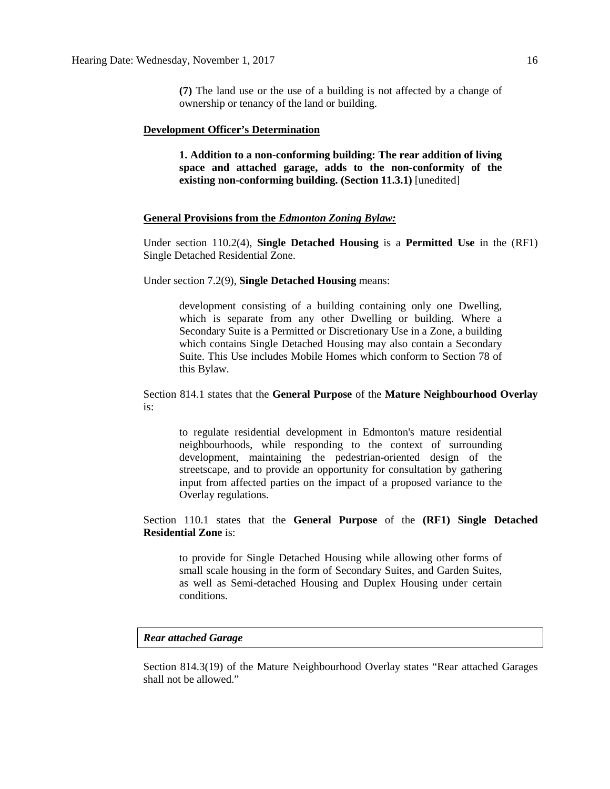**(7)** The land use or the use of a building is not affected by a change of ownership or tenancy of the land or building.

### **Development Officer's Determination**

**1. Addition to a non-conforming building: The rear addition of living space and attached garage, adds to the non-conformity of the existing non-conforming building. (Section 11.3.1)** [unedited]

## **General Provisions from the** *Edmonton Zoning Bylaw:*

Under section 110.2(4), **Single Detached Housing** is a **Permitted Use** in the (RF1) Single Detached Residential Zone.

Under section 7.2(9), **Single Detached Housing** means:

development consisting of a building containing only one Dwelling, which is separate from any other Dwelling or building. Where a Secondary Suite is a Permitted or Discretionary Use in a Zone, a building which contains Single Detached Housing may also contain a Secondary Suite. This Use includes Mobile Homes which conform to Section 78 of this Bylaw.

Section 814.1 states that the **General Purpose** of the **Mature Neighbourhood Overlay** is:

to regulate residential development in Edmonton's mature residential neighbourhoods, while responding to the context of surrounding development, maintaining the pedestrian-oriented design of the streetscape, and to provide an opportunity for consultation by gathering input from affected parties on the impact of a proposed variance to the Overlay regulations.

Section 110.1 states that the **General Purpose** of the **(RF1) Single Detached Residential Zone** is:

to provide for Single Detached Housing while allowing other forms of small scale housing in the form of Secondary Suites, and Garden Suites, as well as Semi-detached Housing and Duplex Housing under certain conditions.

## *Rear attached Garage*

Section 814.3(19) of the Mature Neighbourhood Overlay states "Rear attached Garages shall not be allowed."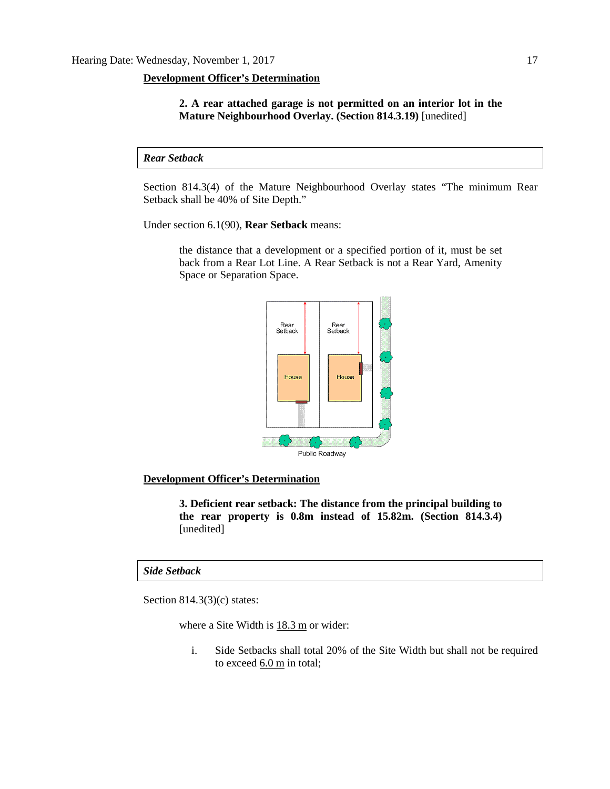## **Development Officer's Determination**

**2. A rear attached garage is not permitted on an interior lot in the Mature Neighbourhood Overlay. (Section 814.3.19)** [unedited]

*Rear Setback*

Section 814.3(4) of the Mature Neighbourhood Overlay states "The minimum Rear Setback shall be 40% of Site Depth."

Under section 6.1(90), **Rear Setback** means:

the distance that a development or a specified portion of it, must be set back from a Rear Lot Line. A Rear Setback is not a Rear Yard, Amenity Space or Separation Space.



## **Development Officer's Determination**

**3. Deficient rear setback: The distance from the principal building to the rear property is 0.8m instead of 15.82m. (Section 814.3.4)**  [unedited]

## *Side Setback*

Section 814.3(3)(c) states:

where a Site Width is [18.3 m](javascript:void(0);) or wider:

i. Side Setbacks shall total 20% of the Site Width but shall not be required to exceed  $6.0 \text{ m}$  in total;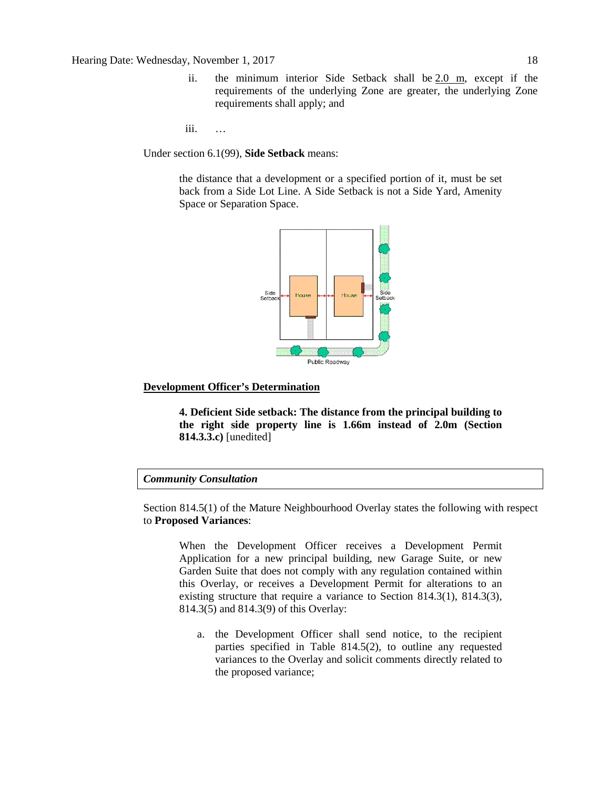- ii. the minimum interior Side Setback shall be [2.0 m,](javascript:void(0);) except if the requirements of the underlying Zone are greater, the underlying Zone requirements shall apply; and
- iii. …

Under section 6.1(99), **Side Setback** means:

the distance that a development or a specified portion of it, must be set back from a Side Lot Line. A Side Setback is not a Side Yard, Amenity Space or Separation Space.



### **Development Officer's Determination**

**4. Deficient Side setback: The distance from the principal building to the right side property line is 1.66m instead of 2.0m (Section 814.3.3.c)** [unedited]

## *Community Consultation*

Section 814.5(1) of the Mature Neighbourhood Overlay states the following with respect to **Proposed Variances**:

When the Development Officer receives a Development Permit Application for a new principal building, new Garage Suite, or new Garden Suite that does not comply with any regulation contained within this Overlay, or receives a Development Permit for alterations to an existing structure that require a variance to Section 814.3(1), 814.3(3), 814.3(5) and 814.3(9) of this Overlay:

a. the Development Officer shall send notice, to the recipient parties specified in Table 814.5(2), to outline any requested variances to the Overlay and solicit comments directly related to the proposed variance;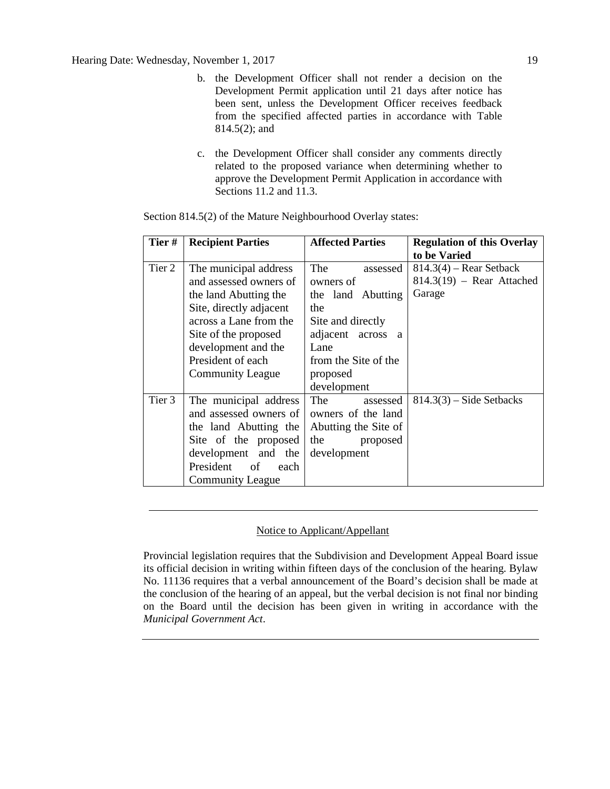- b. the Development Officer shall not render a decision on the Development Permit application until 21 days after notice has been sent, unless the Development Officer receives feedback from the specified affected parties in accordance with Table 814.5(2); and
- c. the Development Officer shall consider any comments directly related to the proposed variance when determining whether to approve the Development Permit Application in accordance with Sections 11.2 and 11.3.

| Tier#  | <b>Recipient Parties</b>        | <b>Affected Parties</b> | <b>Regulation of this Overlay</b> |
|--------|---------------------------------|-------------------------|-----------------------------------|
|        |                                 |                         | to be Varied                      |
| Tier 2 | The municipal address           | The<br>assessed         | $814.3(4)$ – Rear Setback         |
|        | and assessed owners of          | owners of               | $814.3(19)$ – Rear Attached       |
|        | the land Abutting the           | the land Abutting       | Garage                            |
|        | Site, directly adjacent         | the                     |                                   |
|        | across a Lane from the          | Site and directly       |                                   |
|        | Site of the proposed            | adjacent across a       |                                   |
|        | development and the             | Lane                    |                                   |
|        | President of each               | from the Site of the    |                                   |
|        | <b>Community League</b>         | proposed                |                                   |
|        |                                 | development             |                                   |
| Tier 3 | The municipal address           | The T<br>assessed       | $814.3(3)$ – Side Setbacks        |
|        | and assessed owners of          | owners of the land      |                                   |
|        | the land Abutting the           | Abutting the Site of    |                                   |
|        | Site of the proposed            | the<br>proposed         |                                   |
|        | development and the             | development             |                                   |
|        | President<br>$\circ$ of<br>each |                         |                                   |
|        | <b>Community League</b>         |                         |                                   |

Section 814.5(2) of the Mature Neighbourhood Overlay states:

## Notice to Applicant/Appellant

Provincial legislation requires that the Subdivision and Development Appeal Board issue its official decision in writing within fifteen days of the conclusion of the hearing. Bylaw No. 11136 requires that a verbal announcement of the Board's decision shall be made at the conclusion of the hearing of an appeal, but the verbal decision is not final nor binding on the Board until the decision has been given in writing in accordance with the *Municipal Government Act*.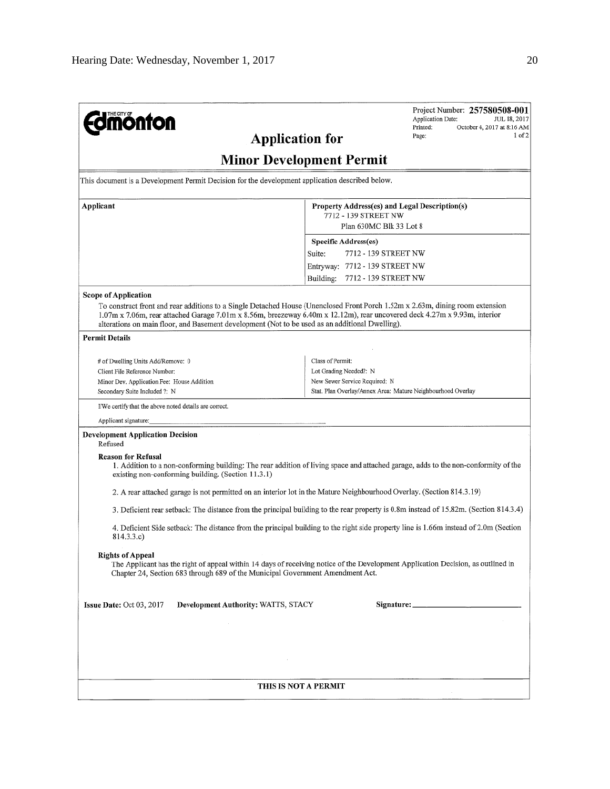| <b>nonton</b><br><b>Application for</b>                                                                                                                                                                                                                                                                                                                       | Project Number: 257580508-001<br>Application Date:<br>JUL 18, 2017<br>October 4, 2017 at 8:16 AM<br>Printed:<br>$1$ of $2$<br>Page:   |  |  |  |  |
|---------------------------------------------------------------------------------------------------------------------------------------------------------------------------------------------------------------------------------------------------------------------------------------------------------------------------------------------------------------|---------------------------------------------------------------------------------------------------------------------------------------|--|--|--|--|
| <b>Minor Development Permit</b>                                                                                                                                                                                                                                                                                                                               |                                                                                                                                       |  |  |  |  |
| This document is a Development Permit Decision for the development application described below.                                                                                                                                                                                                                                                               |                                                                                                                                       |  |  |  |  |
| Applicant                                                                                                                                                                                                                                                                                                                                                     | Property Address(es) and Legal Description(s)                                                                                         |  |  |  |  |
|                                                                                                                                                                                                                                                                                                                                                               | 7712 - 139 STREET NW<br>Plan 630MC Blk 33 Lot 8                                                                                       |  |  |  |  |
|                                                                                                                                                                                                                                                                                                                                                               | <b>Specific Address(es)</b>                                                                                                           |  |  |  |  |
|                                                                                                                                                                                                                                                                                                                                                               | 7712 - 139 STREET NW<br>Suite:                                                                                                        |  |  |  |  |
|                                                                                                                                                                                                                                                                                                                                                               | Entryway: 7712 - 139 STREET NW                                                                                                        |  |  |  |  |
|                                                                                                                                                                                                                                                                                                                                                               | 7712 - 139 STREET NW<br>Building:                                                                                                     |  |  |  |  |
| <b>Scope of Application</b>                                                                                                                                                                                                                                                                                                                                   |                                                                                                                                       |  |  |  |  |
| To construct front and rear additions to a Single Detached House (Unenclosed Front Porch 1.52m x 2.63m, dining room extension<br>1.07m x 7.06m, rear attached Garage 7.01m x 8.56m, breezeway 6.40m x 12.12m), rear uncovered deck 4.27m x 9.93m, interior<br>alterations on main floor, and Basement development (Not to be used as an additional Dwelling). |                                                                                                                                       |  |  |  |  |
| <b>Permit Details</b>                                                                                                                                                                                                                                                                                                                                         |                                                                                                                                       |  |  |  |  |
| # of Dwelling Units Add/Remove: 0                                                                                                                                                                                                                                                                                                                             | Class of Permit:                                                                                                                      |  |  |  |  |
| Client File Reference Number;                                                                                                                                                                                                                                                                                                                                 | Lot Grading Needed?: N                                                                                                                |  |  |  |  |
| Minor Dev. Application Fee: House Addition                                                                                                                                                                                                                                                                                                                    | New Sewer Service Required: N                                                                                                         |  |  |  |  |
| Secondary Suite Included ?: N                                                                                                                                                                                                                                                                                                                                 | Stat. Plan Overlay/Annex Area: Mature Neighbourhood Overlay                                                                           |  |  |  |  |
| I/We certify that the above noted details are correct.                                                                                                                                                                                                                                                                                                        |                                                                                                                                       |  |  |  |  |
| Applicant signature:<br><b>Development Application Decision</b>                                                                                                                                                                                                                                                                                               |                                                                                                                                       |  |  |  |  |
| Refused                                                                                                                                                                                                                                                                                                                                                       |                                                                                                                                       |  |  |  |  |
| <b>Reason for Refusal</b><br>existing non-conforming building. (Section 11.3.1)                                                                                                                                                                                                                                                                               | 1. Addition to a non-conforming building: The rear addition of living space and attached garage, adds to the non-conformity of the    |  |  |  |  |
| 2. A rear attached garage is not permitted on an interior lot in the Mature Neighbourhood Overlay. (Section 814.3.19)                                                                                                                                                                                                                                         |                                                                                                                                       |  |  |  |  |
|                                                                                                                                                                                                                                                                                                                                                               | 3. Deficient rear setback: The distance from the principal building to the rear property is 0.8m instead of 15.82m. (Section 814.3.4) |  |  |  |  |
| 814.3.3.c)                                                                                                                                                                                                                                                                                                                                                    | 4. Deficient Side setback: The distance from the principal building to the right side property line is 1.66m instead of 2.0m (Section |  |  |  |  |
| <b>Rights of Appeal</b><br>Chapter 24, Section 683 through 689 of the Municipal Government Amendment Act.                                                                                                                                                                                                                                                     | The Applicant has the right of appeal within 14 days of receiving notice of the Development Application Decision, as outlined in      |  |  |  |  |
| Development Authority: WATTS, STACY<br>Issue Date: $Oct 03, 2017$                                                                                                                                                                                                                                                                                             |                                                                                                                                       |  |  |  |  |
|                                                                                                                                                                                                                                                                                                                                                               |                                                                                                                                       |  |  |  |  |
|                                                                                                                                                                                                                                                                                                                                                               |                                                                                                                                       |  |  |  |  |
|                                                                                                                                                                                                                                                                                                                                                               |                                                                                                                                       |  |  |  |  |
| THIS IS NOT A PERMIT                                                                                                                                                                                                                                                                                                                                          |                                                                                                                                       |  |  |  |  |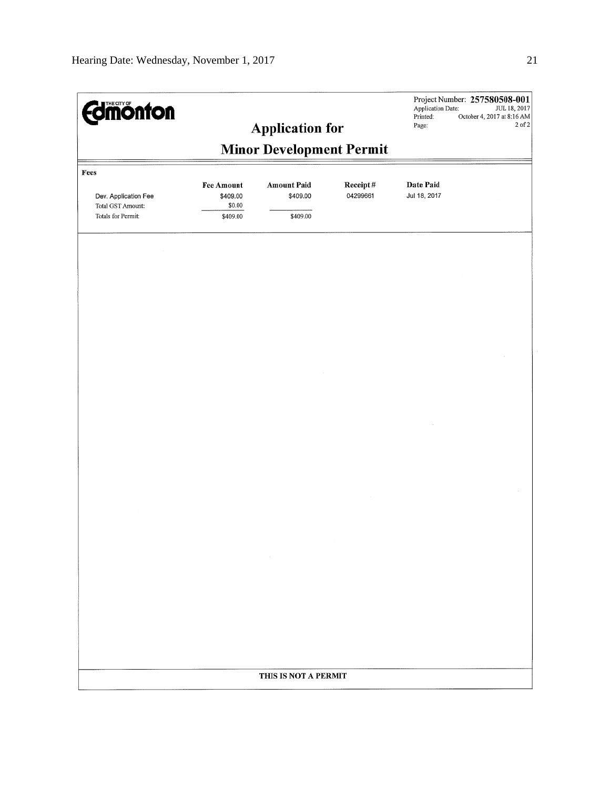| <b>Edmonton</b><br><b>Application for</b>                                      |                                                     |                                            | Project Number: 257580508-001<br>Application Date:<br>JUL 18, 2017<br>Printed:<br>October 4, 2017 at 8:16 AM<br>2 of 2<br>Page: |                           |  |
|--------------------------------------------------------------------------------|-----------------------------------------------------|--------------------------------------------|---------------------------------------------------------------------------------------------------------------------------------|---------------------------|--|
|                                                                                |                                                     | <b>Minor Development Permit</b>            |                                                                                                                                 |                           |  |
|                                                                                |                                                     |                                            |                                                                                                                                 |                           |  |
| Fees<br>Dev. Application Fee<br><b>Total GST Amount:</b><br>Totals for Permit: | <b>Fee Amount</b><br>\$409.00<br>\$0.00<br>\$409.00 | <b>Amount Paid</b><br>\$409.00<br>\$409.00 | Receipt#<br>04299661                                                                                                            | Date Paid<br>Jul 18, 2017 |  |
|                                                                                |                                                     |                                            |                                                                                                                                 |                           |  |
|                                                                                |                                                     |                                            |                                                                                                                                 |                           |  |
|                                                                                |                                                     |                                            |                                                                                                                                 |                           |  |
|                                                                                |                                                     |                                            |                                                                                                                                 |                           |  |
|                                                                                |                                                     |                                            |                                                                                                                                 |                           |  |
|                                                                                |                                                     |                                            |                                                                                                                                 |                           |  |
|                                                                                |                                                     | $\sim$                                     |                                                                                                                                 |                           |  |
|                                                                                |                                                     |                                            |                                                                                                                                 |                           |  |
|                                                                                |                                                     |                                            |                                                                                                                                 |                           |  |
|                                                                                |                                                     | THIS IS NOT A PERMIT                       |                                                                                                                                 |                           |  |